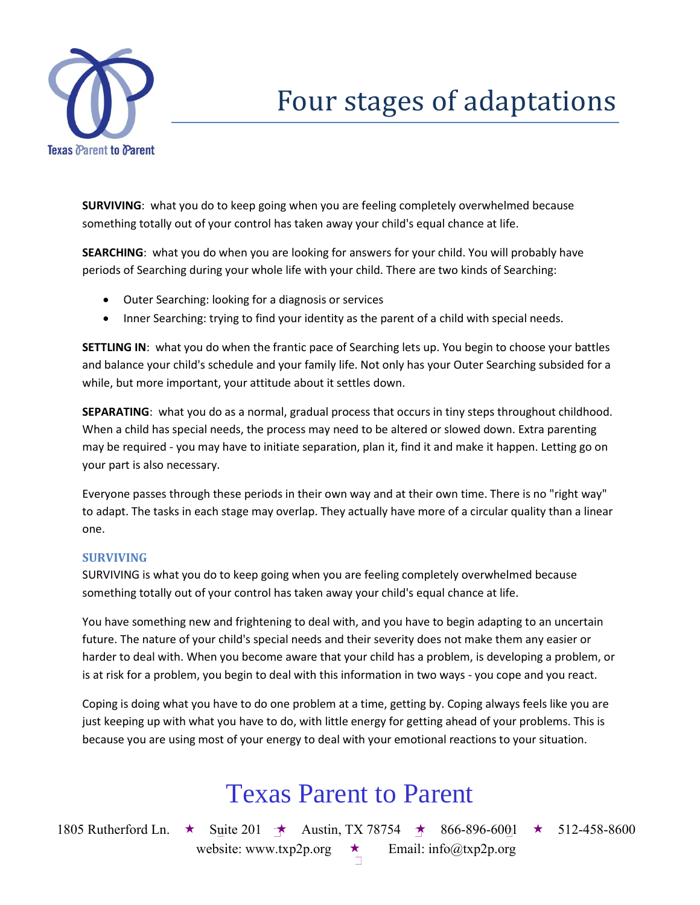

# Four stages of adaptations

**SURVIVING**: what you do to keep going when you are feeling completely overwhelmed because something totally out of your control has taken away your child's equal chance at life.

**SEARCHING**: what you do when you are looking for answers for your child. You will probably have periods of Searching during your whole life with your child. There are two kinds of Searching:

- Outer Searching: looking for a diagnosis or services
- Inner Searching: trying to find your identity as the parent of a child with special needs.

**SETTLING IN**: what you do when the frantic pace of Searching lets up. You begin to choose your battles and balance your child's schedule and your family life. Not only has your Outer Searching subsided for a while, but more important, your attitude about it settles down.

**SEPARATING**: what you do as a normal, gradual process that occurs in tiny steps throughout childhood. When a child has special needs, the process may need to be altered or slowed down. Extra parenting may be required - you may have to initiate separation, plan it, find it and make it happen. Letting go on your part is also necessary.

Everyone passes through these periods in their own way and at their own time. There is no "right way" to adapt. The tasks in each stage may overlap. They actually have more of a circular quality than a linear one.

#### **SURVIVING**

SURVIVING is what you do to keep going when you are feeling completely overwhelmed because something totally out of your control has taken away your child's equal chance at life.

You have something new and frightening to deal with, and you have to begin adapting to an uncertain future. The nature of your child's special needs and their severity does not make them any easier or harder to deal with. When you become aware that your child has a problem, is developing a problem, or is at risk for a problem, you begin to deal with this information in two ways - you cope and you react.

Coping is doing what you have to do one problem at a time, getting by. Coping always feels like you are just keeping up with what you have to do, with little energy for getting ahead of your problems. This is because you are using most of your energy to deal with your emotional reactions to your situation.

### Texas Parent to Parent

1805 Rutherford Ln.  $\star$  Suite 201  $\star$  Austin, TX 78754  $\star$  866-896-6001  $\star$  512-458-8600 website: www.txp2p.org  $\star$  Email: info@txp2p.org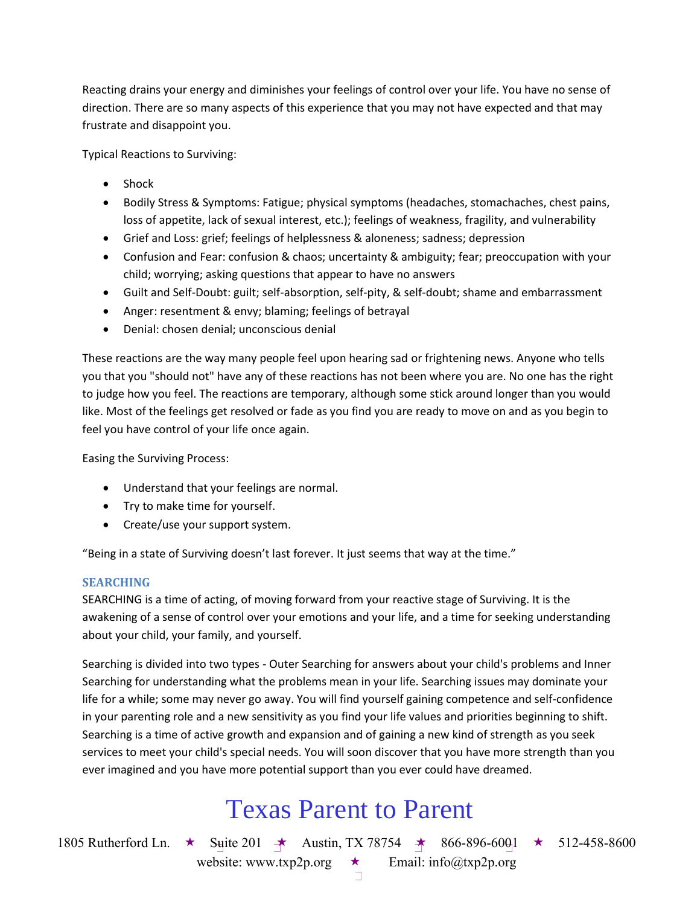Reacting drains your energy and diminishes your feelings of control over your life. You have no sense of direction. There are so many aspects of this experience that you may not have expected and that may frustrate and disappoint you.

Typical Reactions to Surviving:

- Shock
- Bodily Stress & Symptoms: Fatigue; physical symptoms (headaches, stomachaches, chest pains, loss of appetite, lack of sexual interest, etc.); feelings of weakness, fragility, and vulnerability
- Grief and Loss: grief; feelings of helplessness & aloneness; sadness; depression
- Confusion and Fear: confusion & chaos; uncertainty & ambiguity; fear; preoccupation with your child; worrying; asking questions that appear to have no answers
- Guilt and Self-Doubt: guilt; self-absorption, self-pity, & self-doubt; shame and embarrassment
- Anger: resentment & envy; blaming; feelings of betrayal
- Denial: chosen denial; unconscious denial

These reactions are the way many people feel upon hearing sad or frightening news. Anyone who tells you that you "should not" have any of these reactions has not been where you are. No one has the right to judge how you feel. The reactions are temporary, although some stick around longer than you would like. Most of the feelings get resolved or fade as you find you are ready to move on and as you begin to feel you have control of your life once again.

Easing the Surviving Process:

- Understand that your feelings are normal.
- Try to make time for yourself.
- Create/use your support system.

"Being in a state of Surviving doesn't last forever. It just seems that way at the time."

#### **SEARCHING**

SEARCHING is a time of acting, of moving forward from your reactive stage of Surviving. It is the awakening of a sense of control over your emotions and your life, and a time for seeking understanding about your child, your family, and yourself.

Searching is divided into two types - Outer Searching for answers about your child's problems and Inner Searching for understanding what the problems mean in your life. Searching issues may dominate your life for a while; some may never go away. You will find yourself gaining competence and self-confidence in your parenting role and a new sensitivity as you find your life values and priorities beginning to shift. Searching is a time of active growth and expansion and of gaining a new kind of strength as you seek services to meet your child's special needs. You will soon discover that you have more strength than you ever imagined and you have more potential support than you ever could have dreamed.

### Texas Parent to Parent

1805 Rutherford Ln.  $\star$  Suite 201  $\star$  Austin, TX 78754  $\star$  866-896-6001  $\star$  512-458-8600

website: www.txp2p.org  $\star$  Email: info@txp2p.org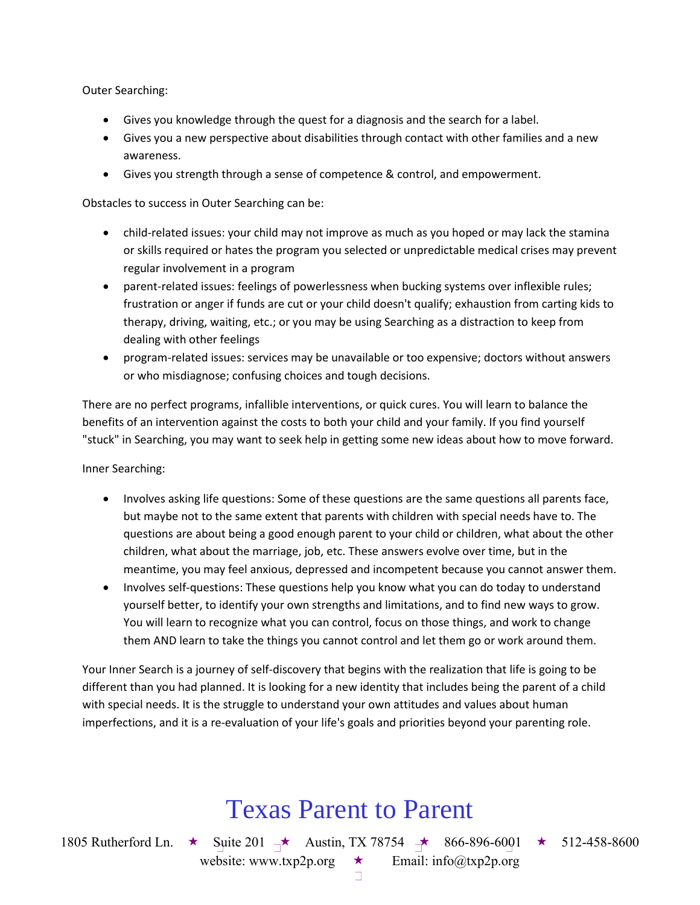Outer Searching:

- Gives you knowledge through the quest for a diagnosis and the search for a label.
- Gives you a new perspective about disabilities through contact with other families and a new awareness.
- Gives you strength through a sense of competence & control, and empowerment.

Obstacles to success in Outer Searching can be:

- child-related issues: your child may not improve as much as you hoped or may lack the stamina or skills required or hates the program you selected or unpredictable medical crises may prevent regular involvement in a program
- parent-related issues: feelings of powerlessness when bucking systems over inflexible rules; frustration or anger if funds are cut or your child doesn't qualify; exhaustion from carting kids to therapy, driving, waiting, etc.; or you may be using Searching as a distraction to keep from dealing with other feelings
- program-related issues: services may be unavailable or too expensive; doctors without answers or who misdiagnose; confusing choices and tough decisions.

There are no perfect programs, infallible interventions, or quick cures. You will learn to balance the benefits of an intervention against the costs to both your child and your family. If you find yourself "stuck" in Searching, you may want to seek help in getting some new ideas about how to move forward.

Inner Searching:

- Involves asking life questions: Some of these questions are the same questions all parents face, but maybe not to the same extent that parents with children with special needs have to. The questions are about being a good enough parent to your child or children, what about the other children, what about the marriage, job, etc. These answers evolve over time, but in the meantime, you may feel anxious, depressed and incompetent because you cannot answer them.
- Involves self-questions: These questions help you know what you can do today to understand yourself better, to identify your own strengths and limitations, and to find new ways to grow. You will learn to recognize what you can control, focus on those things, and work to change them AND learn to take the things you cannot control and let them go or work around them.

Your Inner Search is a journey of self-discovery that begins with the realization that life is going to be different than you had planned. It is looking for a new identity that includes being the parent of a child with special needs. It is the struggle to understand your own attitudes and values about human imperfections, and it is a re-evaluation of your life's goals and priorities beyond your parenting role.

### Texas Parent to Parent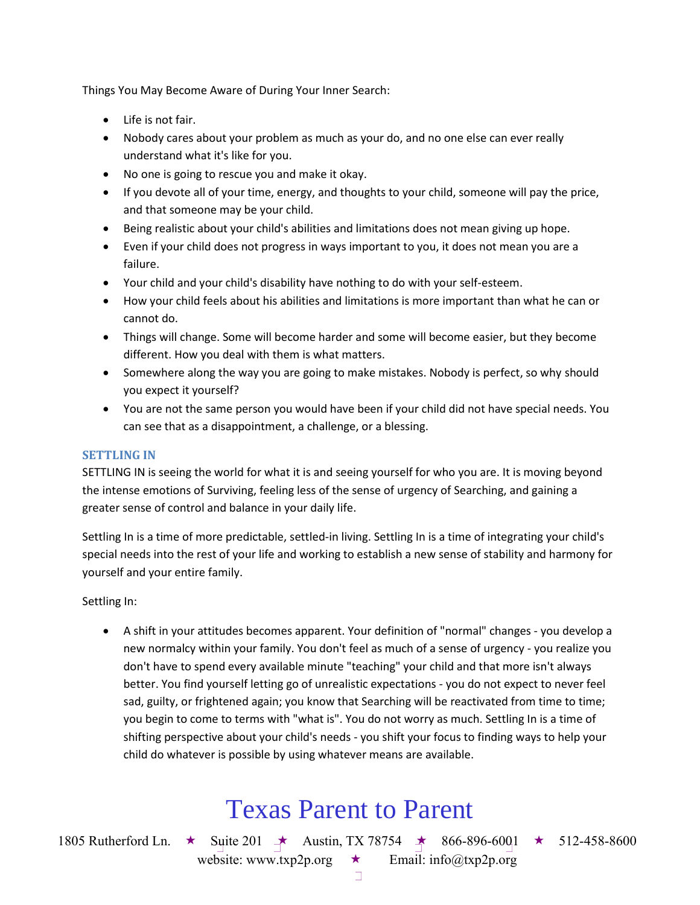Things You May Become Aware of During Your Inner Search:

- Life is not fair.
- Nobody cares about your problem as much as your do, and no one else can ever really understand what it's like for you.
- No one is going to rescue you and make it okay.
- If you devote all of your time, energy, and thoughts to your child, someone will pay the price, and that someone may be your child.
- Being realistic about your child's abilities and limitations does not mean giving up hope.
- Even if your child does not progress in ways important to you, it does not mean you are a failure.
- Your child and your child's disability have nothing to do with your self-esteem.
- How your child feels about his abilities and limitations is more important than what he can or cannot do.
- Things will change. Some will become harder and some will become easier, but they become different. How you deal with them is what matters.
- Somewhere along the way you are going to make mistakes. Nobody is perfect, so why should you expect it yourself?
- You are not the same person you would have been if your child did not have special needs. You can see that as a disappointment, a challenge, or a blessing.

#### **SETTLING IN**

SETTLING IN is seeing the world for what it is and seeing yourself for who you are. It is moving beyond the intense emotions of Surviving, feeling less of the sense of urgency of Searching, and gaining a greater sense of control and balance in your daily life.

Settling In is a time of more predictable, settled-in living. Settling In is a time of integrating your child's special needs into the rest of your life and working to establish a new sense of stability and harmony for yourself and your entire family.

Settling In:

 A shift in your attitudes becomes apparent. Your definition of "normal" changes - you develop a new normalcy within your family. You don't feel as much of a sense of urgency - you realize you don't have to spend every available minute "teaching" your child and that more isn't always better. You find yourself letting go of unrealistic expectations - you do not expect to never feel sad, guilty, or frightened again; you know that Searching will be reactivated from time to time; you begin to come to terms with "what is". You do not worry as much. Settling In is a time of shifting perspective about your child's needs - you shift your focus to finding ways to help your child do whatever is possible by using whatever means are available.

### Texas Parent to Parent

1805 Rutherford Ln. ★ Suite 201 → Austin, TX 78754 → 866-896-600<sub>1</sub> ★ 512-458-8600

website: www.txp2p.org  $\star$  Email: info@txp2p.org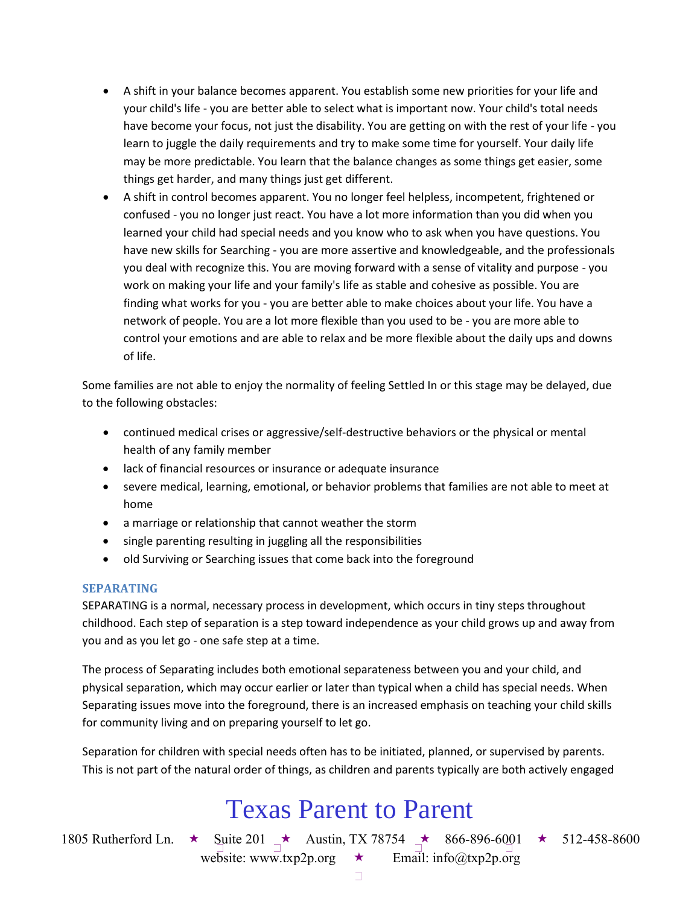- A shift in your balance becomes apparent. You establish some new priorities for your life and your child's life - you are better able to select what is important now. Your child's total needs have become your focus, not just the disability. You are getting on with the rest of your life - you learn to juggle the daily requirements and try to make some time for yourself. Your daily life may be more predictable. You learn that the balance changes as some things get easier, some things get harder, and many things just get different.
- A shift in control becomes apparent. You no longer feel helpless, incompetent, frightened or confused - you no longer just react. You have a lot more information than you did when you learned your child had special needs and you know who to ask when you have questions. You have new skills for Searching - you are more assertive and knowledgeable, and the professionals you deal with recognize this. You are moving forward with a sense of vitality and purpose - you work on making your life and your family's life as stable and cohesive as possible. You are finding what works for you - you are better able to make choices about your life. You have a network of people. You are a lot more flexible than you used to be - you are more able to control your emotions and are able to relax and be more flexible about the daily ups and downs of life.

Some families are not able to enjoy the normality of feeling Settled In or this stage may be delayed, due to the following obstacles:

- continued medical crises or aggressive/self-destructive behaviors or the physical or mental health of any family member
- lack of financial resources or insurance or adequate insurance
- severe medical, learning, emotional, or behavior problems that families are not able to meet at home
- a marriage or relationship that cannot weather the storm
- single parenting resulting in juggling all the responsibilities
- old Surviving or Searching issues that come back into the foreground

#### **SEPARATING**

SEPARATING is a normal, necessary process in development, which occurs in tiny steps throughout childhood. Each step of separation is a step toward independence as your child grows up and away from you and as you let go - one safe step at a time.

The process of Separating includes both emotional separateness between you and your child, and physical separation, which may occur earlier or later than typical when a child has special needs. When Separating issues move into the foreground, there is an increased emphasis on teaching your child skills for community living and on preparing yourself to let go.

Separation for children with special needs often has to be initiated, planned, or supervised by parents. This is not part of the natural order of things, as children and parents typically are both actively engaged

## Texas Parent to Parent

1805 Rutherford Ln.  $\star$  Suite 201  $\star$  Austin, TX 78754  $\star$  866-896-6001  $\star$  512-458-8600 website: www.txp2p.org  $\star$  Email: info@txp2p.org